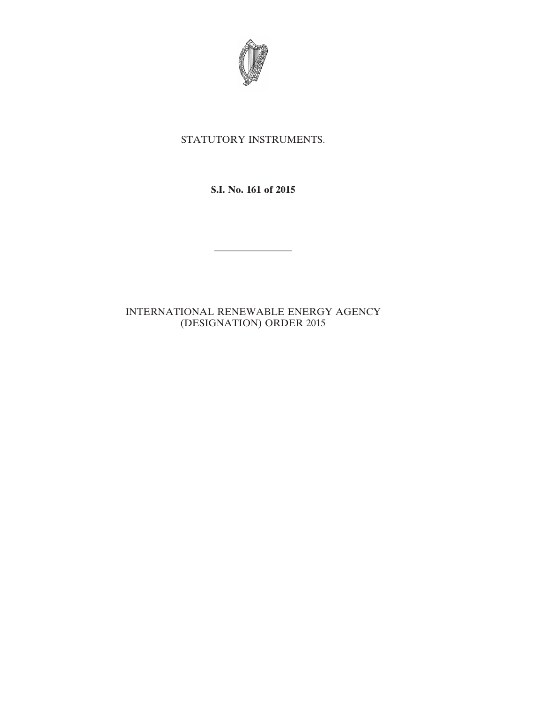

## STATUTORY INSTRUMENTS.

**S.I. No. 161 of 2015**

————————

## INTERNATIONAL RENEWABLE ENERGY AGENCY (DESIGNATION) ORDER 2015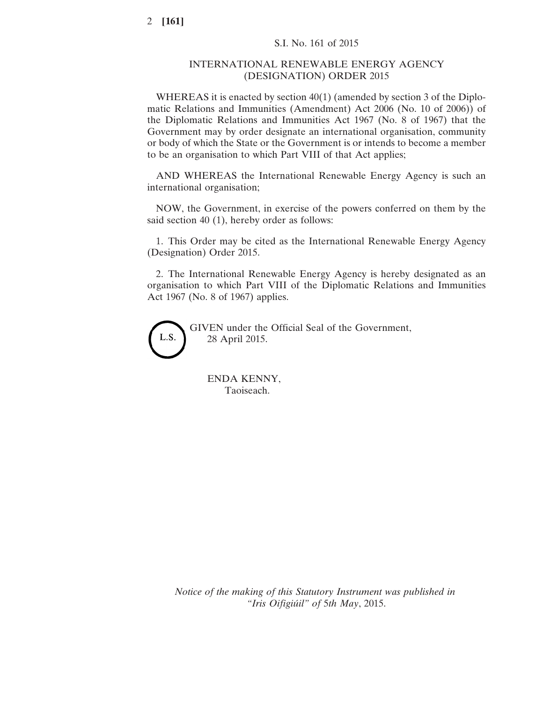## INTERNATIONAL RENEWABLE ENERGY AGENCY (DESIGNATION) ORDER 2015

WHEREAS it is enacted by section 40(1) (amended by section 3 of the Diplomatic Relations and Immunities (Amendment) Act 2006 (No. 10 of 2006)) of the Diplomatic Relations and Immunities Act 1967 (No. 8 of 1967) that the Government may by order designate an international organisation, community or body of which the State or the Government is or intends to become a member to be an organisation to which Part VIII of that Act applies;

AND WHEREAS the International Renewable Energy Agency is such an international organisation;

NOW, the Government, in exercise of the powers conferred on them by the said section 40 (1), hereby order as follows:

1. This Order may be cited as the International Renewable Energy Agency (Designation) Order 2015.

2. The International Renewable Energy Agency is hereby designated as an organisation to which Part VIII of the Diplomatic Relations and Immunities Act 1967 (No. 8 of 1967) applies.



GIVEN under the Official Seal of the Government, 28 April 2015.

ENDA KENNY, Taoiseach.

*Notice of the making of this Statutory Instrument was published in "Iris Oifigiúil" of* 5*th May*, 2015.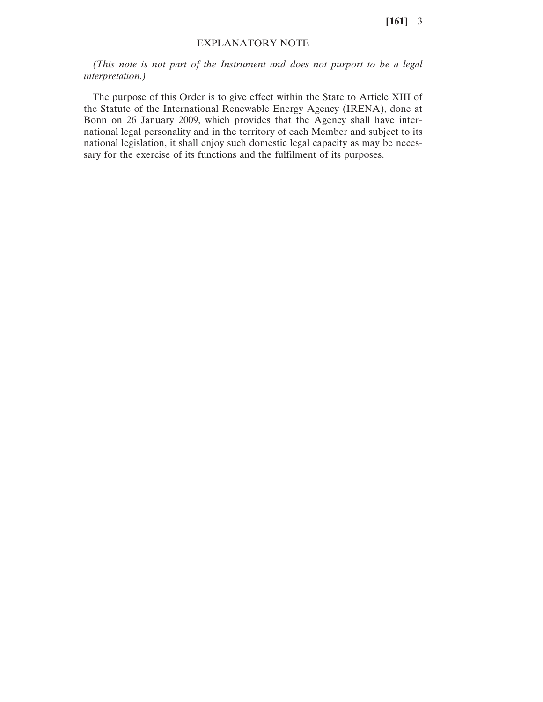**[161]** 3

## EXPLANATORY NOTE

*(This note is not part of the Instrument and does not purport to be a legal interpretation.)*

The purpose of this Order is to give effect within the State to Article XIII of the Statute of the International Renewable Energy Agency (IRENA), done at Bonn on 26 January 2009, which provides that the Agency shall have international legal personality and in the territory of each Member and subject to its national legislation, it shall enjoy such domestic legal capacity as may be necessary for the exercise of its functions and the fulfilment of its purposes.